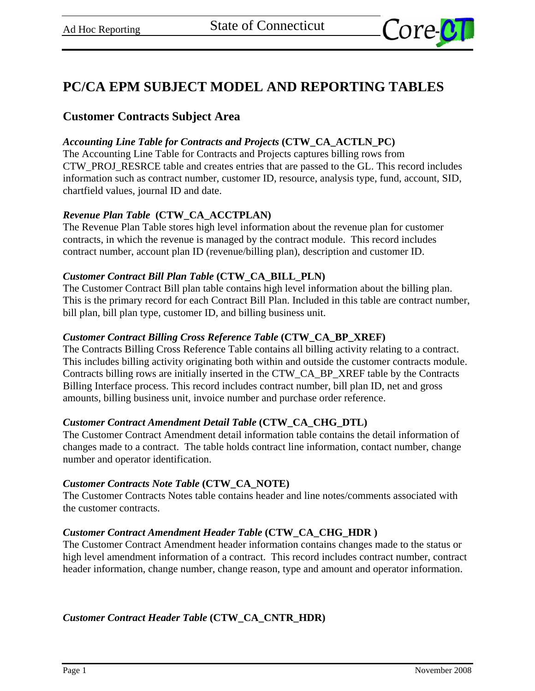

# **PC/CA EPM SUBJECT MODEL AND REPORTING TABLES**

# **Customer Contracts Subject Area**

## *Accounting Line Table for Contracts and Projects* **(CTW\_CA\_ACTLN\_PC)**

The Accounting Line Table for Contracts and Projects captures billing rows from CTW\_PROJ\_RESRCE table and creates entries that are passed to the GL. This record includes information such as contract number, customer ID, resource, analysis type, fund, account, SID, chartfield values, journal ID and date.

## *Revenue Plan Table* **(CTW\_CA\_ACCTPLAN)**

The Revenue Plan Table stores high level information about the revenue plan for customer contracts, in which the revenue is managed by the contract module. This record includes contract number, account plan ID (revenue/billing plan), description and customer ID.

## *Customer Contract Bill Plan Table* **(CTW\_CA\_BILL\_PLN)**

The Customer Contract Bill plan table contains high level information about the billing plan. This is the primary record for each Contract Bill Plan. Included in this table are contract number, bill plan, bill plan type, customer ID, and billing business unit.

#### *Customer Contract Billing Cross Reference Table* **(CTW\_CA\_BP\_XREF)**

The Contracts Billing Cross Reference Table contains all billing activity relating to a contract. This includes billing activity originating both within and outside the customer contracts module. Contracts billing rows are initially inserted in the CTW\_CA\_BP\_XREF table by the Contracts Billing Interface process. This record includes contract number, bill plan ID, net and gross amounts, billing business unit, invoice number and purchase order reference.

## *Customer Contract Amendment Detail Table* **(CTW\_CA\_CHG\_DTL)**

The Customer Contract Amendment detail information table contains the detail information of changes made to a contract. The table holds contract line information, contact number, change number and operator identification.

#### *Customer Contracts Note Table* **(CTW\_CA\_NOTE)**

The Customer Contracts Notes table contains header and line notes/comments associated with the customer contracts.

## *Customer Contract Amendment Header Table* **(CTW\_CA\_CHG\_HDR )**

The Customer Contract Amendment header information contains changes made to the status or high level amendment information of a contract. This record includes contract number, contract header information, change number, change reason, type and amount and operator information.

*Customer Contract Header Table* **(CTW\_CA\_CNTR\_HDR)**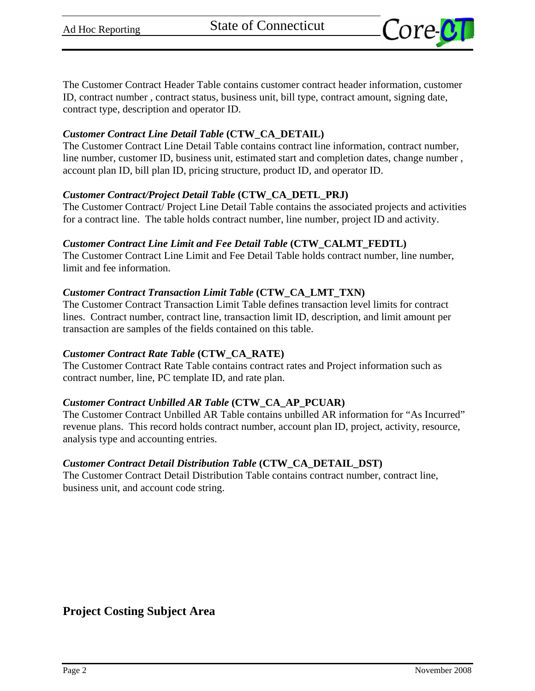

The Customer Contract Header Table contains customer contract header information, customer ID, contract number , contract status, business unit, bill type, contract amount, signing date, contract type, description and operator ID.

## *Customer Contract Line Detail Table* **(CTW\_CA\_DETAIL)**

The Customer Contract Line Detail Table contains contract line information, contract number, line number, customer ID, business unit, estimated start and completion dates, change number , account plan ID, bill plan ID, pricing structure, product ID, and operator ID.

#### *Customer Contract/Project Detail Table* **(CTW\_CA\_DETL\_PRJ)**

The Customer Contract/ Project Line Detail Table contains the associated projects and activities for a contract line. The table holds contract number, line number, project ID and activity.

#### *Customer Contract Line Limit and Fee Detail Table* **(CTW\_CALMT\_FEDTL)**

The Customer Contract Line Limit and Fee Detail Table holds contract number, line number, limit and fee information.

#### *Customer Contract Transaction Limit Table* **(CTW\_CA\_LMT\_TXN)**

The Customer Contract Transaction Limit Table defines transaction level limits for contract lines. Contract number, contract line, transaction limit ID, description, and limit amount per transaction are samples of the fields contained on this table.

#### *Customer Contract Rate Table* **(CTW\_CA\_RATE)**

The Customer Contract Rate Table contains contract rates and Project information such as contract number, line, PC template ID, and rate plan.

## *Customer Contract Unbilled AR Table* **(CTW\_CA\_AP\_PCUAR)**

The Customer Contract Unbilled AR Table contains unbilled AR information for "As Incurred" revenue plans. This record holds contract number, account plan ID, project, activity, resource, analysis type and accounting entries.

## *Customer Contract Detail Distribution Table* **(CTW\_CA\_DETAIL\_DST)**

The Customer Contract Detail Distribution Table contains contract number, contract line, business unit, and account code string.

**Project Costing Subject Area**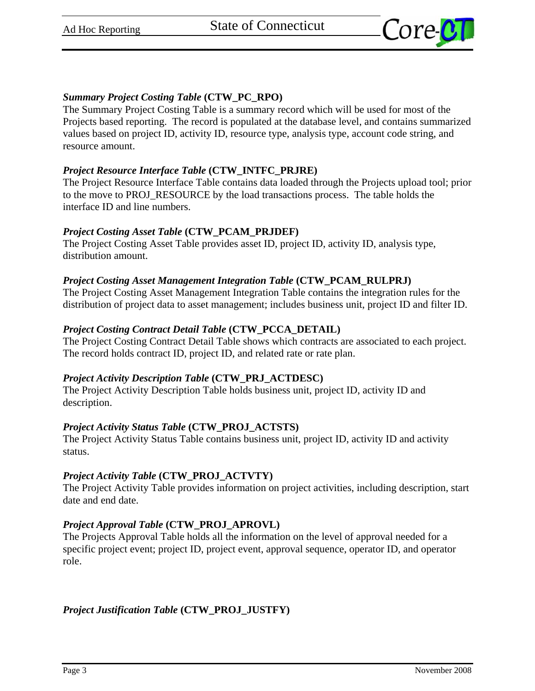

## *Summary Project Costing Table* **(CTW\_PC\_RPO)**

The Summary Project Costing Table is a summary record which will be used for most of the Projects based reporting. The record is populated at the database level, and contains summarized values based on project ID, activity ID, resource type, analysis type, account code string, and resource amount.

## *Project Resource Interface Table* **(CTW\_INTFC\_PRJRE)**

The Project Resource Interface Table contains data loaded through the Projects upload tool; prior to the move to PROJ\_RESOURCE by the load transactions process. The table holds the interface ID and line numbers.

## *Project Costing Asset Table* **(CTW\_PCAM\_PRJDEF)**

The Project Costing Asset Table provides asset ID, project ID, activity ID, analysis type, distribution amount.

## *Project Costing Asset Management Integration Table* **(CTW\_PCAM\_RULPRJ)**

The Project Costing Asset Management Integration Table contains the integration rules for the distribution of project data to asset management; includes business unit, project ID and filter ID.

## *Project Costing Contract Detail Table* **(CTW\_PCCA\_DETAIL)**

The Project Costing Contract Detail Table shows which contracts are associated to each project. The record holds contract ID, project ID, and related rate or rate plan.

## *Project Activity Description Table* **(CTW\_PRJ\_ACTDESC)**

The Project Activity Description Table holds business unit, project ID, activity ID and description.

# *Project Activity Status Table* **(CTW\_PROJ\_ACTSTS)**

The Project Activity Status Table contains business unit, project ID, activity ID and activity status.

## *Project Activity Table* **(CTW\_PROJ\_ACTVTY)**

The Project Activity Table provides information on project activities, including description, start date and end date.

## *Project Approval Table* **(CTW\_PROJ\_APROVL)**

The Projects Approval Table holds all the information on the level of approval needed for a specific project event; project ID, project event, approval sequence, operator ID, and operator role.

# *Project Justification Table* **(CTW\_PROJ\_JUSTFY)**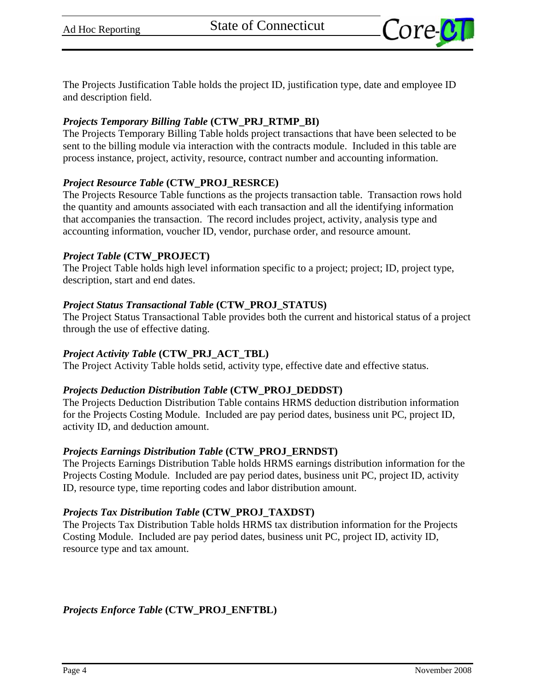

The Projects Justification Table holds the project ID, justification type, date and employee ID and description field.

#### *Projects Temporary Billing Table* **(CTW\_PRJ\_RTMP\_BI)**

The Projects Temporary Billing Table holds project transactions that have been selected to be sent to the billing module via interaction with the contracts module. Included in this table are process instance, project, activity, resource, contract number and accounting information.

## *Project Resource Table* **(CTW\_PROJ\_RESRCE)**

The Projects Resource Table functions as the projects transaction table. Transaction rows hold the quantity and amounts associated with each transaction and all the identifying information that accompanies the transaction. The record includes project, activity, analysis type and accounting information, voucher ID, vendor, purchase order, and resource amount.

#### *Project Table* **(CTW\_PROJECT)**

The Project Table holds high level information specific to a project; project; ID, project type, description, start and end dates.

#### *Project Status Transactional Table* **(CTW\_PROJ\_STATUS)**

The Project Status Transactional Table provides both the current and historical status of a project through the use of effective dating.

#### *Project Activity Table* **(CTW\_PRJ\_ACT\_TBL)**

The Project Activity Table holds setid, activity type, effective date and effective status.

## *Projects Deduction Distribution Table* **(CTW\_PROJ\_DEDDST)**

The Projects Deduction Distribution Table contains HRMS deduction distribution information for the Projects Costing Module. Included are pay period dates, business unit PC, project ID, activity ID, and deduction amount.

#### *Projects Earnings Distribution Table* **(CTW\_PROJ\_ERNDST)**

The Projects Earnings Distribution Table holds HRMS earnings distribution information for the Projects Costing Module. Included are pay period dates, business unit PC, project ID, activity ID, resource type, time reporting codes and labor distribution amount.

#### *Projects Tax Distribution Table* **(CTW\_PROJ\_TAXDST)**

The Projects Tax Distribution Table holds HRMS tax distribution information for the Projects Costing Module. Included are pay period dates, business unit PC, project ID, activity ID, resource type and tax amount.

*Projects Enforce Table* **(CTW\_PROJ\_ENFTBL)**